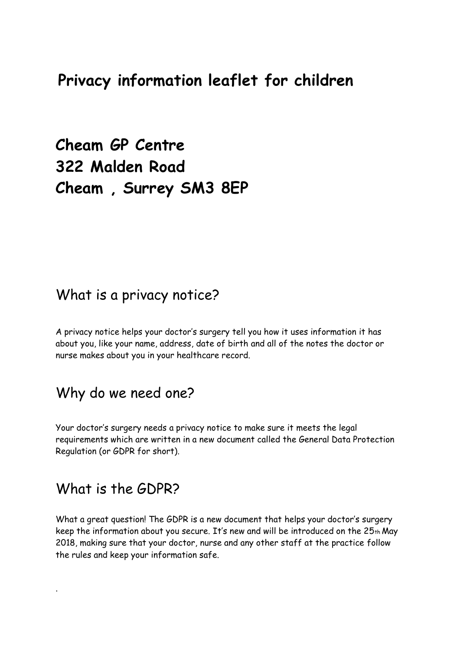## **Privacy information leaflet for children**

**Cheam GP Centre 322 Malden Road Cheam , Surrey SM3 8EP**

#### What is a privacy notice?

A privacy notice helps your doctor's surgery tell you how it uses information it has about you, like your name, address, date of birth and all of the notes the doctor or nurse makes about you in your healthcare record.

#### Why do we need one?

Your doctor's surgery needs a privacy notice to make sure it meets the legal requirements which are written in a new document called the General Data Protection Regulation (or GDPR for short).

#### What is the GDPR?

.

What a great question! The GDPR is a new document that helps your doctor's surgery keep the information about you secure. It's new and will be introduced on the 25th May 2018, making sure that your doctor, nurse and any other staff at the practice follow the rules and keep your information safe.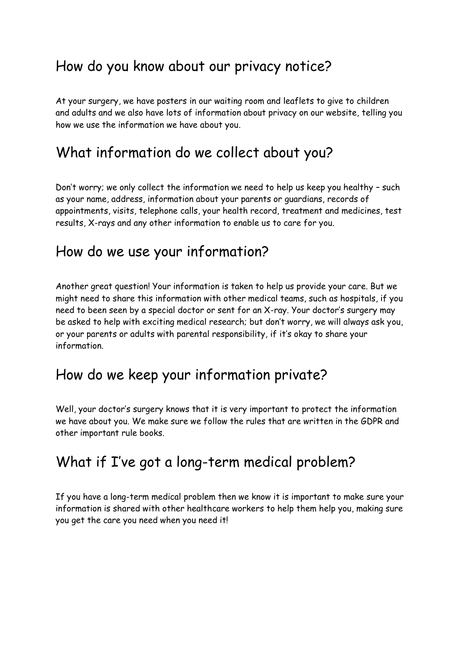## How do you know about our privacy notice?

At your surgery, we have posters in our waiting room and leaflets to give to children and adults and we also have lots of information about privacy on our website, telling you how we use the information we have about you.

# What information do we collect about you?

Don't worry; we only collect the information we need to help us keep you healthy – such as your name, address, information about your parents or guardians, records of appointments, visits, telephone calls, your health record, treatment and medicines, test results, X-rays and any other information to enable us to care for you.

### How do we use your information?

Another great question! Your information is taken to help us provide your care. But we might need to share this information with other medical teams, such as hospitals, if you need to been seen by a special doctor or sent for an X-ray. Your doctor's surgery may be asked to help with exciting medical research; but don't worry, we will always ask you, or your parents or adults with parental responsibility, if it's okay to share your information.

### How do we keep your information private?

Well, your doctor's surgery knows that it is very important to protect the information we have about you. We make sure we follow the rules that are written in the GDPR and other important rule books.

# What if I've got a long-term medical problem?

If you have a long-term medical problem then we know it is important to make sure your information is shared with other healthcare workers to help them help you, making sure you get the care you need when you need it!